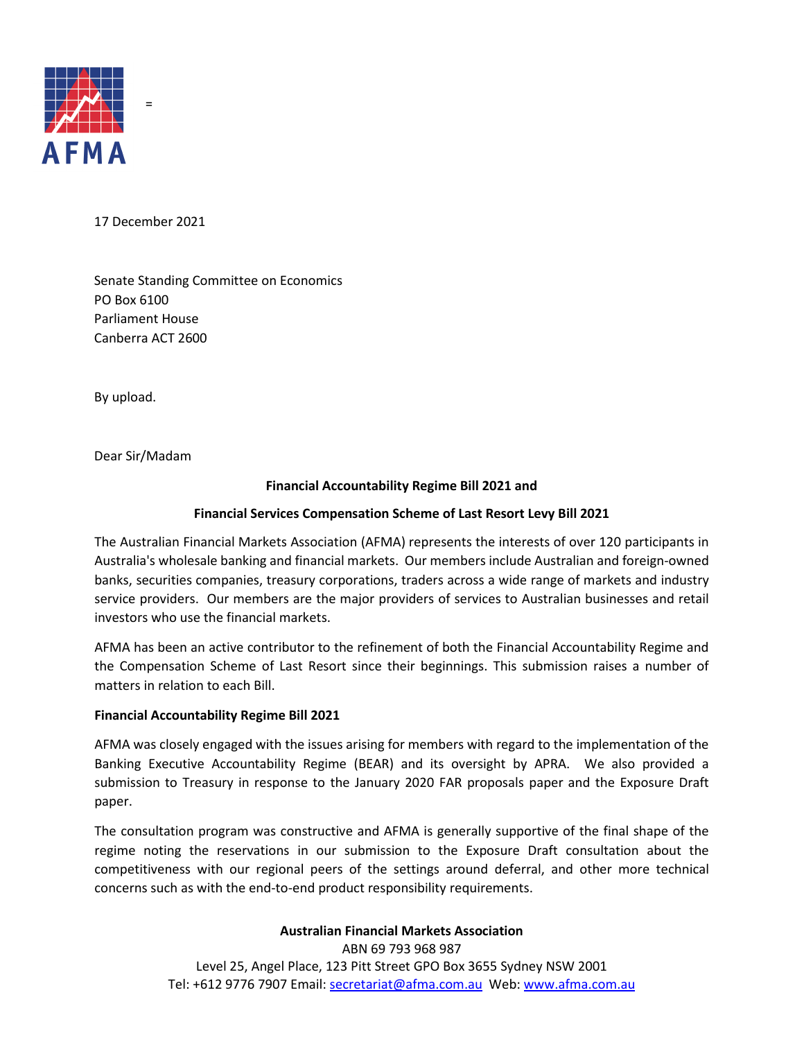

17 December 2021

=

Senate Standing Committee on Economics PO Box 6100 Parliament House Canberra ACT 2600

By upload.

Dear Sir/Madam

## **Financial Accountability Regime Bill 2021 and**

### **Financial Services Compensation Scheme of Last Resort Levy Bill 2021**

The Australian Financial Markets Association (AFMA) represents the interests of over 120 participants in Australia's wholesale banking and financial markets. Our members include Australian and foreign-owned banks, securities companies, treasury corporations, traders across a wide range of markets and industry service providers. Our members are the major providers of services to Australian businesses and retail investors who use the financial markets.

AFMA has been an active contributor to the refinement of both the Financial Accountability Regime and the Compensation Scheme of Last Resort since their beginnings. This submission raises a number of matters in relation to each Bill.

#### **Financial Accountability Regime Bill 2021**

AFMA was closely engaged with the issues arising for members with regard to the implementation of the Banking Executive Accountability Regime (BEAR) and its oversight by APRA. We also provided a submission to Treasury in response to the January 2020 FAR proposals paper and the Exposure Draft paper.

The consultation program was constructive and AFMA is generally supportive of the final shape of the regime noting the reservations in our submission to the Exposure Draft consultation about the competitiveness with our regional peers of the settings around deferral, and other more technical concerns such as with the end-to-end product responsibility requirements.

> **Australian Financial Markets Association** ABN 69 793 968 987

Level 25, Angel Place, 123 Pitt Street GPO Box 3655 Sydney NSW 2001 Tel: +612 9776 7907 Email: [secretariat@afma.com.au](mailto:secretariat@afma.com.au) Web: [www.afma.com.au](http://www.afma.com.au/)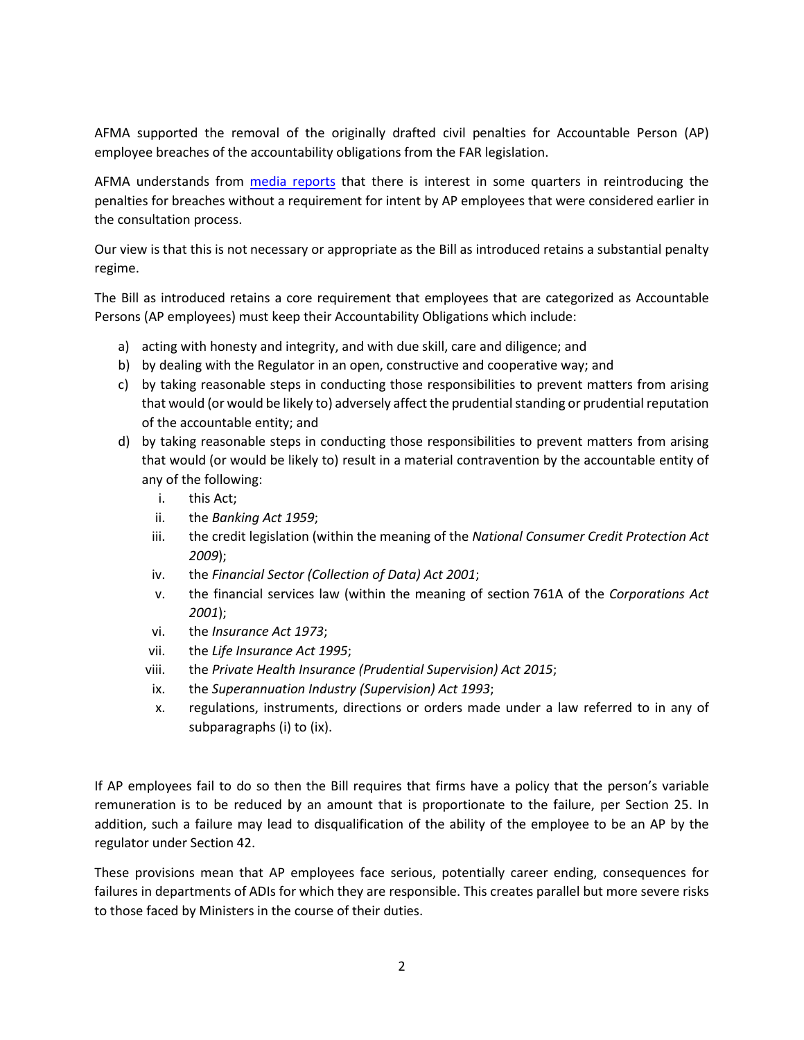AFMA supported the removal of the originally drafted civil penalties for Accountable Person (AP) employee breaches of the accountability obligations from the FAR legislation.

AFMA understands from [media reports](https://www.afr.com/policy/economy/million-dollar-fines-for-bankers-possible-as-lnp-senator-goes-rogue-20211103-p595qr) that there is interest in some quarters in reintroducing the penalties for breaches without a requirement for intent by AP employees that were considered earlier in the consultation process.

Our view is that this is not necessary or appropriate as the Bill as introduced retains a substantial penalty regime.

The Bill as introduced retains a core requirement that employees that are categorized as Accountable Persons (AP employees) must keep their Accountability Obligations which include:

- a) acting with honesty and integrity, and with due skill, care and diligence; and
- b) by dealing with the Regulator in an open, constructive and cooperative way; and
- c) by taking reasonable steps in conducting those responsibilities to prevent matters from arising that would (or would be likely to) adversely affect the prudential standing or prudential reputation of the accountable entity; and
- d) by taking reasonable steps in conducting those responsibilities to prevent matters from arising that would (or would be likely to) result in a material contravention by the accountable entity of any of the following:
	- i. this Act;
	- ii. the *Banking Act 1959*;
	- iii. the credit legislation (within the meaning of the *National Consumer Credit Protection Act 2009*);
	- iv. the *Financial Sector (Collection of Data) Act 2001*;
	- v. the financial services law (within the meaning of section 761A of the *Corporations Act 2001*);
	- vi. the *Insurance Act 1973*;
	- vii. the *Life Insurance Act 1995*;
	- viii. the *Private Health Insurance (Prudential Supervision) Act 2015*;
	- ix. the *Superannuation Industry (Supervision) Act 1993*;
	- x. regulations, instruments, directions or orders made under a law referred to in any of subparagraphs (i) to (ix).

If AP employees fail to do so then the Bill requires that firms have a policy that the person's variable remuneration is to be reduced by an amount that is proportionate to the failure, per Section 25. In addition, such a failure may lead to disqualification of the ability of the employee to be an AP by the regulator under Section 42.

These provisions mean that AP employees face serious, potentially career ending, consequences for failures in departments of ADIs for which they are responsible. This creates parallel but more severe risks to those faced by Ministers in the course of their duties.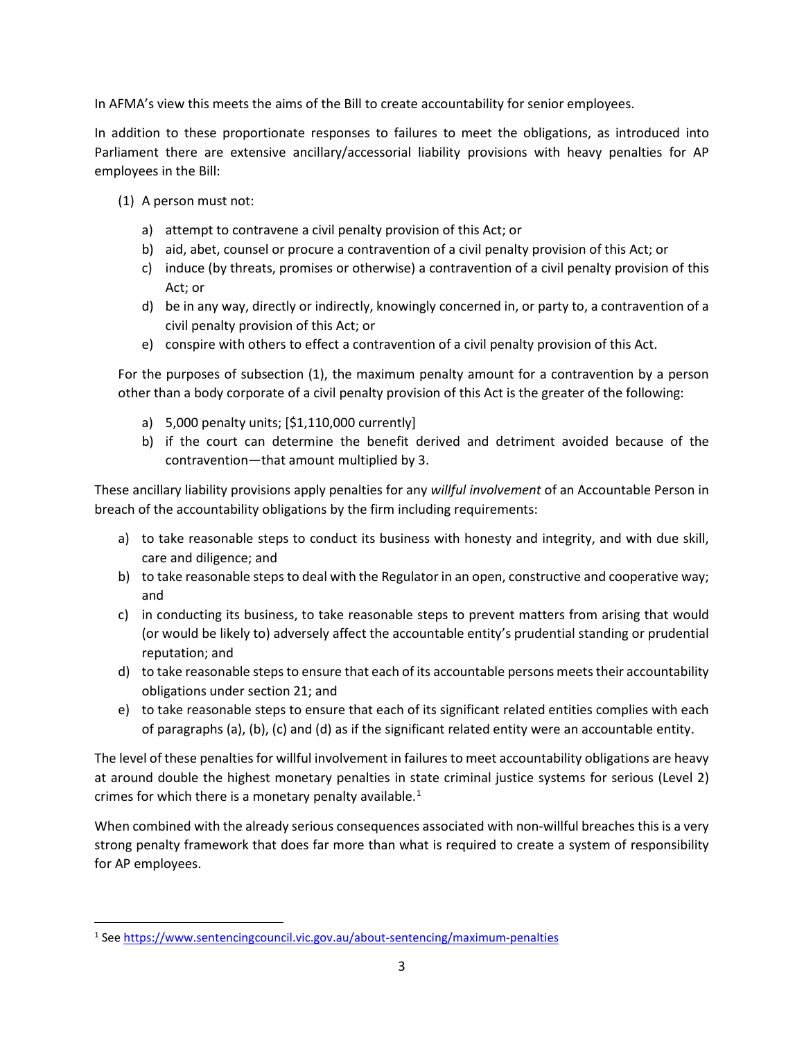In AFMA's view this meets the aims of the Bill to create accountability for senior employees.

In addition to these proportionate responses to failures to meet the obligations, as introduced into Parliament there are extensive ancillary/accessorial liability provisions with heavy penalties for AP employees in the Bill:

- (1) A person must not:
	- a) attempt to contravene a civil penalty provision of this Act; or
	- b) aid, abet, counsel or procure a contravention of a civil penalty provision of this Act; or
	- c) induce (by threats, promises or otherwise) a contravention of a civil penalty provision of this Act; or
	- d) be in any way, directly or indirectly, knowingly concerned in, or party to, a contravention of a civil penalty provision of this Act; or
	- e) conspire with others to effect a contravention of a civil penalty provision of this Act.

For the purposes of subsection (1), the maximum penalty amount for a contravention by a person other than a body corporate of a civil penalty provision of this Act is the greater of the following:

- a) 5,000 penalty units; [\$1,110,000 currently]
- b) if the court can determine the benefit derived and detriment avoided because of the contravention—that amount multiplied by 3.

These ancillary liability provisions apply penalties for any *willful involvement* of an Accountable Person in breach of the accountability obligations by the firm including requirements:

- a) to take reasonable steps to conduct its business with honesty and integrity, and with due skill, care and diligence; and
- b) to take reasonable steps to deal with the Regulator in an open, constructive and cooperative way; and
- c) in conducting its business, to take reasonable steps to prevent matters from arising that would (or would be likely to) adversely affect the accountable entity's prudential standing or prudential reputation; and
- d) to take reasonable steps to ensure that each of its accountable persons meets their accountability obligations under section 21; and
- e) to take reasonable steps to ensure that each of its significant related entities complies with each of paragraphs (a), (b), (c) and (d) as if the significant related entity were an accountable entity.

The level of these penalties for willful involvement in failures to meet accountability obligations are heavy at around double the highest monetary penalties in state criminal justice systems for serious (Level 2) crimes for which there is a monetary penalty available. $1$ 

When combined with the already serious consequences associated with non-willful breaches this is a very strong penalty framework that does far more than what is required to create a system of responsibility for AP employees.

<span id="page-2-0"></span><sup>1</sup> See<https://www.sentencingcouncil.vic.gov.au/about-sentencing/maximum-penalties>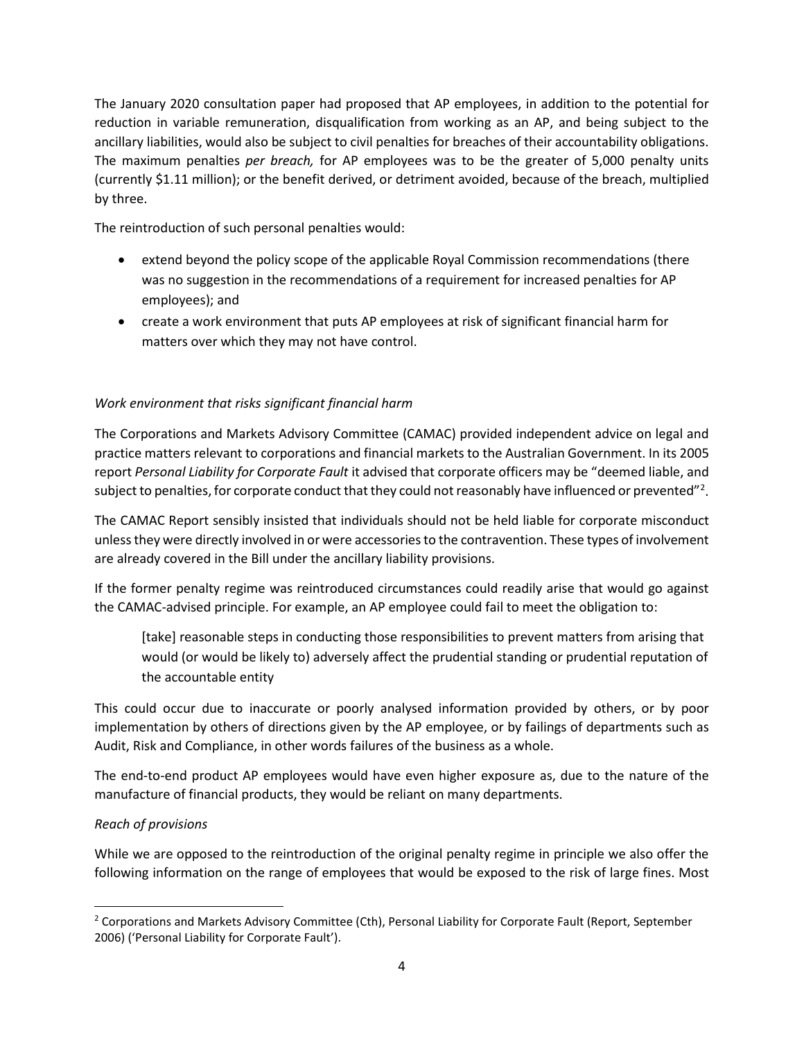The January 2020 consultation paper had proposed that AP employees, in addition to the potential for reduction in variable remuneration, disqualification from working as an AP, and being subject to the ancillary liabilities, would also be subject to civil penalties for breaches of their accountability obligations. The maximum penalties *per breach,* for AP employees was to be the greater of 5,000 penalty units (currently \$1.11 million); or the benefit derived, or detriment avoided, because of the breach, multiplied by three.

The reintroduction of such personal penalties would:

- extend beyond the policy scope of the applicable Royal Commission recommendations (there was no suggestion in the recommendations of a requirement for increased penalties for AP employees); and
- create a work environment that puts AP employees at risk of significant financial harm for matters over which they may not have control.

# *Work environment that risks significant financial harm*

The Corporations and Markets Advisory Committee (CAMAC) provided independent advice on legal and practice matters relevant to corporations and financial markets to the Australian Government. In its 2005 report *Personal Liability for Corporate Fault* it advised that corporate officers may be "deemed liable, and subject to penalties, for corporate conduct that they could not reasonably have influenced or prevented"<sup>[2](#page-3-0)</sup>.

The CAMAC Report sensibly insisted that individuals should not be held liable for corporate misconduct unless they were directly involved in or were accessories to the contravention. These types of involvement are already covered in the Bill under the ancillary liability provisions.

If the former penalty regime was reintroduced circumstances could readily arise that would go against the CAMAC-advised principle. For example, an AP employee could fail to meet the obligation to:

[take] reasonable steps in conducting those responsibilities to prevent matters from arising that would (or would be likely to) adversely affect the prudential standing or prudential reputation of the accountable entity

This could occur due to inaccurate or poorly analysed information provided by others, or by poor implementation by others of directions given by the AP employee, or by failings of departments such as Audit, Risk and Compliance, in other words failures of the business as a whole.

The end-to-end product AP employees would have even higher exposure as, due to the nature of the manufacture of financial products, they would be reliant on many departments.

# *Reach of provisions*

While we are opposed to the reintroduction of the original penalty regime in principle we also offer the following information on the range of employees that would be exposed to the risk of large fines. Most

<span id="page-3-0"></span><sup>&</sup>lt;sup>2</sup> Corporations and Markets Advisory Committee (Cth), Personal Liability for Corporate Fault (Report, September 2006) ('Personal Liability for Corporate Fault').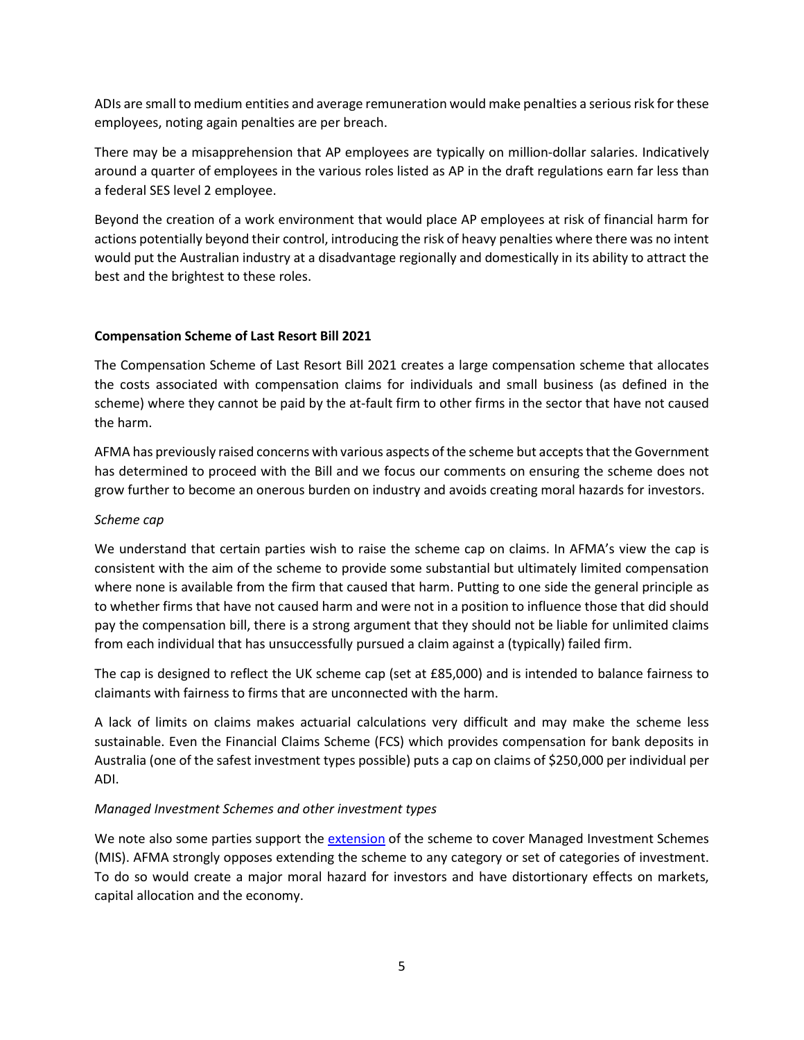ADIs are small to medium entities and average remuneration would make penalties a serious risk for these employees, noting again penalties are per breach.

There may be a misapprehension that AP employees are typically on million-dollar salaries. Indicatively around a quarter of employees in the various roles listed as AP in the draft regulations earn far less than a federal SES level 2 employee.

Beyond the creation of a work environment that would place AP employees at risk of financial harm for actions potentially beyond their control, introducing the risk of heavy penalties where there was no intent would put the Australian industry at a disadvantage regionally and domestically in its ability to attract the best and the brightest to these roles.

## **Compensation Scheme of Last Resort Bill 2021**

The Compensation Scheme of Last Resort Bill 2021 creates a large compensation scheme that allocates the costs associated with compensation claims for individuals and small business (as defined in the scheme) where they cannot be paid by the at-fault firm to other firms in the sector that have not caused the harm.

AFMA has previously raised concerns with various aspects of the scheme but accepts that the Government has determined to proceed with the Bill and we focus our comments on ensuring the scheme does not grow further to become an onerous burden on industry and avoids creating moral hazards for investors.

## *Scheme cap*

We understand that certain parties wish to raise the scheme cap on claims. In AFMA's view the cap is consistent with the aim of the scheme to provide some substantial but ultimately limited compensation where none is available from the firm that caused that harm. Putting to one side the general principle as to whether firms that have not caused harm and were not in a position to influence those that did should pay the compensation bill, there is a strong argument that they should not be liable for unlimited claims from each individual that has unsuccessfully pursued a claim against a (typically) failed firm.

The cap is designed to reflect the UK scheme cap (set at £85,000) and is intended to balance fairness to claimants with fairness to firms that are unconnected with the harm.

A lack of limits on claims makes actuarial calculations very difficult and may make the scheme less sustainable. Even the Financial Claims Scheme (FCS) which provides compensation for bank deposits in Australia (one of the safest investment types possible) puts a cap on claims of \$250,000 per individual per ADI.

# *Managed Investment Schemes and other investment types*

We note also some parties support the [extension](https://www.professionalplanner.com.au/2021/09/last-resort-compensation-scheme-falls-short-choice/) of the scheme to cover Managed Investment Schemes (MIS). AFMA strongly opposes extending the scheme to any category or set of categories of investment. To do so would create a major moral hazard for investors and have distortionary effects on markets, capital allocation and the economy.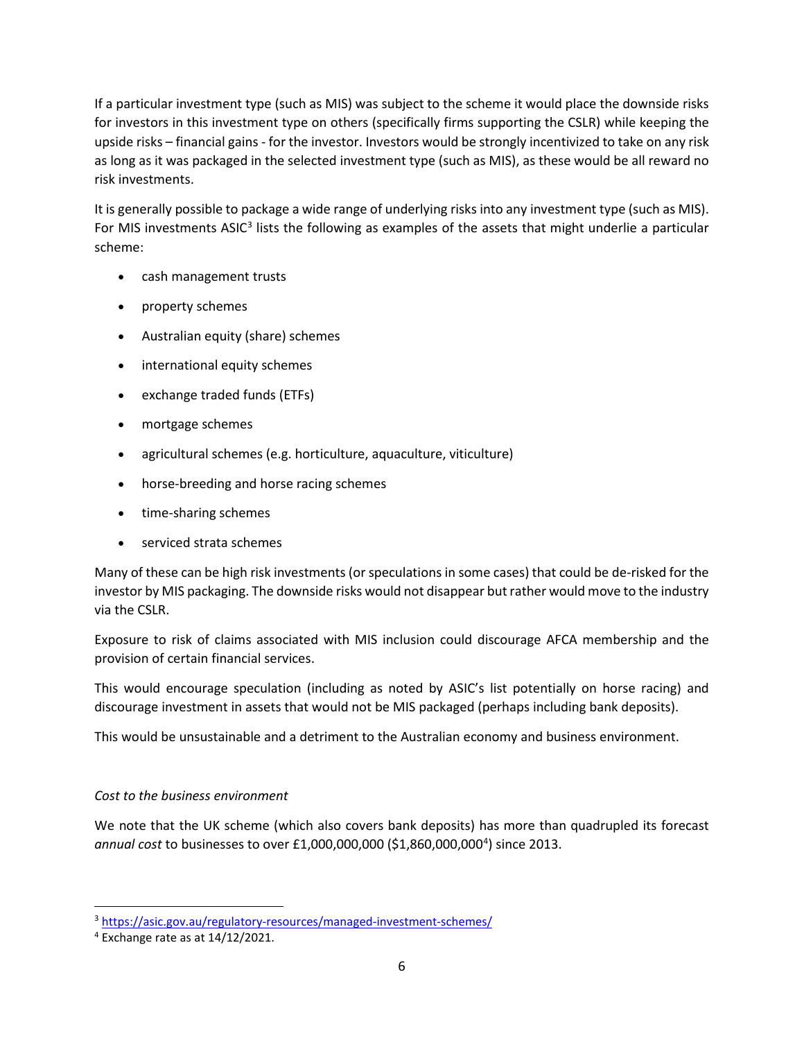If a particular investment type (such as MIS) was subject to the scheme it would place the downside risks for investors in this investment type on others (specifically firms supporting the CSLR) while keeping the upside risks – financial gains - for the investor. Investors would be strongly incentivized to take on any risk as long as it was packaged in the selected investment type (such as MIS), as these would be all reward no risk investments.

It is generally possible to package a wide range of underlying risks into any investment type (such as MIS). For MIS investments ASIC<sup>[3](#page-5-0)</sup> lists the following as examples of the assets that might underlie a particular scheme:

- cash management trusts
- property schemes
- Australian equity (share) schemes
- international equity schemes
- exchange traded funds (ETFs)
- mortgage schemes
- agricultural schemes (e.g. horticulture, aquaculture, viticulture)
- horse-breeding and horse racing schemes
- time-sharing schemes
- serviced strata schemes

Many of these can be high risk investments (or speculations in some cases) that could be de-risked for the investor by MIS packaging. The downside risks would not disappear but rather would move to the industry via the CSLR.

Exposure to risk of claims associated with MIS inclusion could discourage AFCA membership and the provision of certain financial services.

This would encourage speculation (including as noted by ASIC's list potentially on horse racing) and discourage investment in assets that would not be MIS packaged (perhaps including bank deposits).

This would be unsustainable and a detriment to the Australian economy and business environment.

# *Cost to the business environment*

We note that the UK scheme (which also covers bank deposits) has more than quadrupled its forecast annual cost to businesses to over £1,000,000,000 (\$1,860,000,000<sup>[4](#page-5-1)</sup>) since 2013.

<span id="page-5-0"></span><sup>3</sup> <https://asic.gov.au/regulatory-resources/managed-investment-schemes/>

<span id="page-5-1"></span> $4$  Exchange rate as at  $14/12/2021$ .